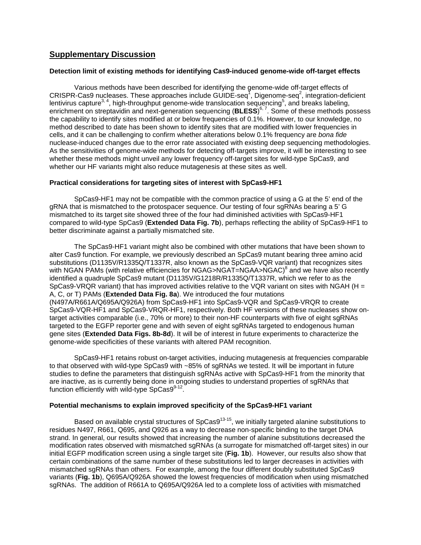# **Supplementary Discussion**

### **Detection limit of existing methods for identifying Cas9-induced genome-wide off-target effects**

Various methods have been described for identifying the genome-wide off-target effects of CRISPR-Cas9 nucleases. These approaches include GUIDE-seq<sup>1</sup>[,](#page-1-0) Digenome-seq<sup>2</sup>, integration-deficient lentivirus capture<sup>3, [4](#page-1-3)</sup>[,](#page-1-4) high-throughput genome-wide translocation sequencing<sup>5</sup>, and breaks labeling, enrichment on streptavidin and next-generation sequencing (BLESS)<sup>[6,](#page-1-5) [7](#page-1-6)</sup>. Some of these methods possess the capability to identify sites modified at or below frequencies of 0.1%. However, to our knowledge, no method described to date has been shown to identify sites that are modified with lower frequencies in cells, and it can be challenging to confirm whether alterations below 0.1% frequency are *bona fide* nuclease-induced changes due to the error rate associated with existing deep sequencing methodologies. As the sensitivities of genome-wide methods for detecting off-targets improve, it will be interesting to see whether these methods might unveil any lower frequency off-target sites for wild-type SpCas9, and whether our HF variants might also reduce mutagenesis at these sites as well.

### **Practical considerations for targeting sites of interest with SpCas9-HF1**

SpCas9-HF1 may not be compatible with the common practice of using a G at the 5' end of the gRNA that is mismatched to the protospacer sequence. Our testing of four sgRNAs bearing a 5' G mismatched to its target site showed three of the four had diminished activities with SpCas9-HF1 compared to wild-type SpCas9 (**Extended Data Fig. 7b**), perhaps reflecting the ability of SpCas9-HF1 to better discriminate against a partially mismatched site.

The SpCas9-HF1 variant might also be combined with other mutations that have been shown to alter Cas9 function. For example, we previously described an SpCas9 mutant bearing three amino acid substitutions (D1135V/R1335Q/T1337R, also known as the SpCas9-VQR variant) that recognizes sites with NGAN PAMs (with relative efficiencies for NGAG>NGAT=NGAA>NGAC[\)](#page-1-7)<sup>8</sup> and we have also recently identified a quadruple SpCas9 mutant (D1135V/G1218R/R1335Q/T1337R, which we refer to as the SpCas9-VRQR variant) that has improved activities relative to the VQR variant on sites with NGAH (H  $=$ A, C, or T) PAMs (**Extended Data Fig. 8a**). We introduced the four mutations (N497A/R661A/Q695A/Q926A) from SpCas9-HF1 into SpCas9-VQR and SpCas9-VRQR to create SpCas9-VQR-HF1 and SpCas9-VRQR-HF1, respectively. Both HF versions of these nucleases show ontarget activities comparable (i.e., 70% or more) to their non-HF counterparts with five of eight sgRNAs targeted to the EGFP reporter gene and with seven of eight sgRNAs targeted to endogenous human gene sites (**Extended Data Figs. 8b-8d**). It will be of interest in future experiments to characterize the genome-wide specificities of these variants with altered PAM recognition.

SpCas9-HF1 retains robust on-target activities, inducing mutagenesis at frequencies comparable to that observed with wild-type SpCas9 with ~85% of sgRNAs we tested. It will be important in future studies to define the parameters that distinguish sgRNAs active with SpCas9-HF1 from the minority that are inactive, as is currently being done in ongoing studies to understand properties of sgRNAs that function efficiently with wild-type  $SpCas9^{9-12}$ .

## **Potential mechanisms to explain improved specificity of the SpCas9-HF1 variant**

Based on available crystal structures of SpCas9<sup>13-15</sup>, we initially targeted alanine substitutions to residues N497, R661, Q695, and Q926 as a way to decrease non-specific binding to the target DNA strand. In general, our results showed that increasing the number of alanine substitutions decreased the modification rates observed with mismatched sgRNAs (a surrogate for mismatched off-target sites) in our initial EGFP modification screen using a single target site (**Fig. 1b**). However, our results also show that certain combinations of the same number of these substitutions led to larger decreases in activities with mismatched sgRNAs than others. For example, among the four different doubly substituted SpCas9 variants (**Fig. 1b**), Q695A/Q926A showed the lowest frequencies of modification when using mismatched sgRNAs. The addition of R661A to Q695A/Q926A led to a complete loss of activities with mismatched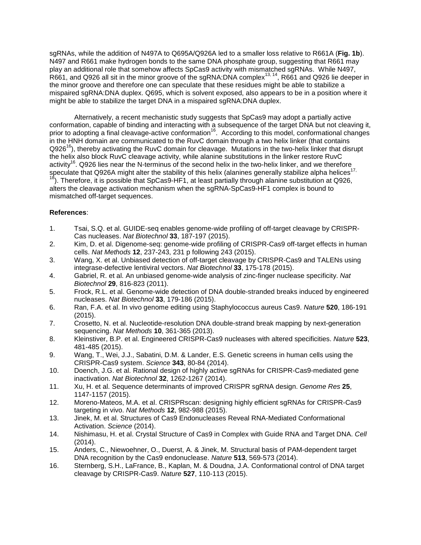sgRNAs, while the addition of N497A to Q695A/Q926A led to a smaller loss relative to R661A (**Fig. 1b**). N497 and R661 make hydrogen bonds to the same DNA phosphate group, suggesting that R661 may play an additional role that somehow affects SpCas9 activity with mismatched sgRNAs. While N497,  $R661$ , and Q926 all sit in the minor groove of the sgRNA:DNA complex<sup>[13,](#page-1-9) 14</sup>, R661 and Q926 lie deeper in the minor groove and therefore one can speculate that these residues might be able to stabilize a mispaired sgRNA:DNA duplex. Q695, which is solvent exposed, also appears to be in a position where it might be able to stabilize the target DNA in a mispaired sgRNA:DNA duplex.

Alternatively, a recent mechanistic study suggests that SpCas9 may adopt a partially active conformation, capable of binding and interacting with a subsequence of the target DNA but not cleaving it, prior to adopting a final cleavage-active conformation<sup>16</sup>. According to this model, conformational changes in the HNH domain are communicated to the RuvC domain through a two helix linker (that contains  $Q926<sup>16</sup>$ , thereby activating the RuvC domain for cleavage. Mutations in the two-helix linker that disrupt the helix also block RuvC cleavage activity, while alanine substitutions in the linker restore RuvC activity<sup>16</sup>. Q926 lies near the N-terminus of the second helix in the two-helix linker, and we therefore speculate that Q926A might alter the stability of this helix (alanines generally stabilize alpha helices<sup>17,</sup> <sup>18</sup>). Therefore, it is possible that SpCas9-HF1, at least partially through alanine substitution at Q926, alters the cleavage activation mechanism when the sgRNA-SpCas9-HF1 complex is bound to mismatched off-target sequences.

# **References**:

- <span id="page-1-0"></span>1. Tsai, S.Q. et al. GUIDE-seq enables genome-wide profiling of off-target cleavage by CRISPR-Cas nucleases. *Nat Biotechnol* **33**, 187-197 (2015).
- <span id="page-1-1"></span>2. Kim, D. et al. Digenome-seq: genome-wide profiling of CRISPR-Cas9 off-target effects in human cells. *Nat Methods* **12**, 237-243, 231 p following 243 (2015).
- <span id="page-1-2"></span>3. Wang, X. et al. Unbiased detection of off-target cleavage by CRISPR-Cas9 and TALENs using integrase-defective lentiviral vectors. *Nat Biotechnol* **33**, 175-178 (2015).
- <span id="page-1-3"></span>4. Gabriel, R. et al. An unbiased genome-wide analysis of zinc-finger nuclease specificity. *Nat Biotechnol* **29**, 816-823 (2011).
- <span id="page-1-4"></span>5. Frock, R.L. et al. Genome-wide detection of DNA double-stranded breaks induced by engineered nucleases. *Nat Biotechnol* **33**, 179-186 (2015).
- <span id="page-1-5"></span>6. Ran, F.A. et al. In vivo genome editing using Staphylococcus aureus Cas9. *Nature* **520**, 186-191 (2015).
- <span id="page-1-6"></span>7. Crosetto, N. et al. Nucleotide-resolution DNA double-strand break mapping by next-generation sequencing. *Nat Methods* **10**, 361-365 (2013).
- <span id="page-1-7"></span>8. Kleinstiver, B.P. et al. Engineered CRISPR-Cas9 nucleases with altered specificities. *Nature* **523**, 481-485 (2015).
- <span id="page-1-8"></span>9. Wang, T., Wei, J.J., Sabatini, D.M. & Lander, E.S. Genetic screens in human cells using the CRISPR-Cas9 system. *Science* **343**, 80-84 (2014).
- 10. Doench, J.G. et al. Rational design of highly active sgRNAs for CRISPR-Cas9-mediated gene inactivation. *Nat Biotechnol* **32**, 1262-1267 (2014).
- 11. Xu, H. et al. Sequence determinants of improved CRISPR sgRNA design. *Genome Res* **25**, 1147-1157 (2015).
- 12. Moreno-Mateos, M.A. et al. CRISPRscan: designing highly efficient sgRNAs for CRISPR-Cas9 targeting in vivo. *Nat Methods* **12**, 982-988 (2015).
- <span id="page-1-9"></span>13. Jinek, M. et al. Structures of Cas9 Endonucleases Reveal RNA-Mediated Conformational Activation. *Science* (2014).
- <span id="page-1-10"></span>14. Nishimasu, H. et al. Crystal Structure of Cas9 in Complex with Guide RNA and Target DNA. *Cell* (2014).
- 15. Anders, C., Niewoehner, O., Duerst, A. & Jinek, M. Structural basis of PAM-dependent target DNA recognition by the Cas9 endonuclease. *Nature* **513**, 569-573 (2014).
- <span id="page-1-11"></span>16. Sternberg, S.H., LaFrance, B., Kaplan, M. & Doudna, J.A. Conformational control of DNA target cleavage by CRISPR-Cas9. *Nature* **527**, 110-113 (2015).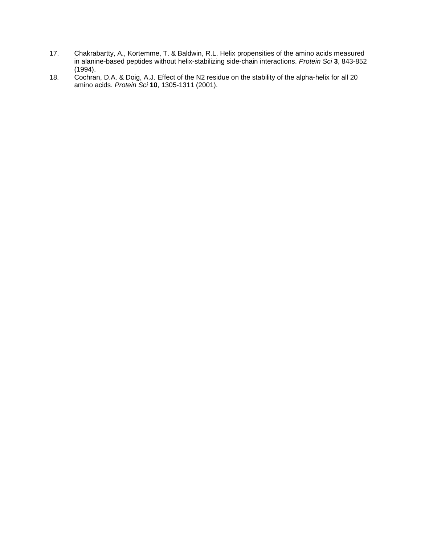- <span id="page-2-0"></span>17. Chakrabartty, A., Kortemme, T. & Baldwin, R.L. Helix propensities of the amino acids measured in alanine-based peptides without helix-stabilizing side-chain interactions. *Protein Sci* **3**, 843-852 (1994).
- <span id="page-2-1"></span>18. Cochran, D.A. & Doig, A.J. Effect of the N2 residue on the stability of the alpha-helix for all 20 amino acids. *Protein Sci* **10**, 1305-1311 (2001).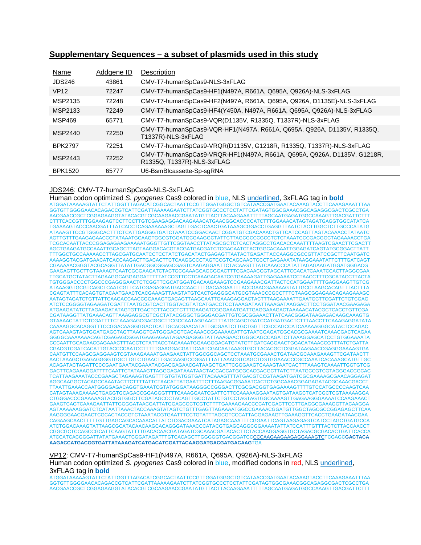# **Supplementary Sequences – a subset of plasmids used in this study**

| Name           | Addgene ID | Description                                                                                           |
|----------------|------------|-------------------------------------------------------------------------------------------------------|
| <b>JDS246</b>  | 43861      | CMV-T7-humanSpCas9-NLS-3xFLAG                                                                         |
| <b>VP12</b>    | 72247      | CMV-T7-humanSpCas9-HF1(N497A, R661A, Q695A, Q926A)-NLS-3xFLAG                                         |
| MSP2135        | 72248      | CMV-T7-humanSpCas9-HF2(N497A, R661A, Q695A, Q926A, D1135E)-NLS-3xFLAG                                 |
| MSP2133        | 72249      | CMV-T7-humanSpCas9-HF4(Y450A, N497A, R661A, Q695A, Q926A)-NLS-3xFLAG                                  |
| <b>MSP469</b>  | 65771      | CMV-T7-humanSpCas9-VQR(D1135V, R1335Q, T1337R)-NLS-3xFLAG                                             |
| MSP2440        | 72250      | CMV-T7-humanSpCas9-VQR-HF1(N497A, R661A, Q695A, Q926A, D1135V, R1335Q,<br>T1337R)-NLS-3xFLAG          |
| <b>BPK2797</b> | 72251      | CMV-T7-humanSpCas9-VRQR(D1135V, G1218R, R1335Q, T1337R)-NLS-3xFLAG                                    |
| MSP2443        | 72252      | CMV-T7-humanSpCas9-VRQR-HF1(N497A, R661A, Q695A, Q926A, D1135V, G1218R,<br>R1335Q, T1337R)-NLS-3xFLAG |
| <b>BPK1520</b> | 65777      | U6-BsmBlcassette-Sp-sqRNA                                                                             |

### JDS246: CMV-T7-humanSpCas9-NLS-3xFLAG

Human codon optimized *S. pyogenes* Cas9 colored in blue, NLS underlined, 3xFLAG tag in **bold** ATGGATAAAAAGTATTCTATTGGTTTAGACATCGGCACTAATTCCGTTGGATGGGCTGTCATAACCGATGAATACAAAGTACCTTCAAAGAAATTTAA GGTGTTGGGGAACACAGACCGTCATTCGATTAAAAAGAATCTTATCGGTGCCCTCCTATTCGATAGTGGCGAAACGGCAGAGGCGACTCGCCTGA AACGAACCGCTCGGAGAAGGTATACACGTCGCAAGAACCGAATATGTTACTTACAAGAAATTTTTAGCAATGAGATGGCCAAAGTTGACGATTCTTT CTTTCACCGTTTGGAAGAGTCCTTCCTTGTCGAAGAGGACAAGAAACATGAACGGCACCCCATCTTTGGAAACATAGTAGATGAGGTGGCATATCA TGAAAAGTACCCAACGATTTATCACCTCAGAAAAAAGCTAGTTGACTCAACTGATAAAGCGGACCTGAGGTTAATCTACTTGGCTCTTGCCCATATG ATAAAGTTCCGTGGGCACTTTCTCATTGAGGGTGATCTAAATCCGGACAACTCGGATGTCGACAAACTGTTCATCCAGTTAGTACAAACCTATAATC AGTTGTTTGAAGAGAACCCTATAAATGCAAGTGGCGTGGATGCGAAGGCTATTCTTAGCGCCCGCCTCTCTAAATCCCGACGGCTAGAAAACCTGA TCGCACAATTACCCGGAGAGAAGAAAAATGGGTTGTTCGGTAACCTTATAGCGCTCTCACTAGGCCTGACACCAAATTTTAAGTCGAACTTCGACTT AGCTGAAGATGCCAAATTGCAGCTTAGTAAGGACACGTACGATGACGATCTCGACAATCTACTGGCACAAATTGGAGATCAGTATGCGGACTTATT TTTGGCTGCCAAAAACCTTAGCGATGCAATCCTCCTATCTGACATACTGAGAGTTAATACTGAGATTACCAAGGCGCCGTTATCCGCTTCAATGATC AAAAGGTACGATGAACATCACCAAGACTTGACACTTCTCAAGGCCCTAGTCCGTCAGCAACTGCCTGAGAAATATAAGGAAATATTCTTTGATCAGT CGAAAAACGGGTACGCAGGTTATATTGACGGCGGAGCGAGTCAAGAGGAATTCTACAAGTTTATCAAACCCATATTAGAGAAGATGGATGGGACG GAAGAGTTGCTTGTAAAACTCAATCGCGAAGATCTACTGCGAAAGCAGCGGACTTTCGACAACGGTAGCATTCCACATCAAATCCACTTAGGCGAA TTGCATGCTATACTTAGAAGGCAGGAGGATTTTTATCCGTTCCTCAAAGACAATCGTGAAAAGATTGAGAAAATCCTAACCTTTCGCATACCTTACTA TGTGGGACCCCTGGCCCGAGGGAACTCTCGGTTCGCATGGATGACAAGAAAGTCCGAAGAAACGATTACTCCATGGAATTTTGAGGAAGTTGTCG ATAAAGGTGCGTCAGCTCAATCGTTCATCGAGAGGATGACCAACTTTGACAAGAATTTACCGAACGAAAAAGTATTGCCTAAGCACAGTTTACTTTA CGAGTATTTCACAGTGTACAATGAACTCACGAAAGTTAAGTATGTCACTGAGGGCATGCGTAAACCCGCCTTTCTAAGCGGAGAACAGAAGAAAGC AATAGTAGATCTGTTATTCAAGACCAACCGCAAAGTGACAGTTAAGCAATTGAAAGAGGACTACTTTAAGAAAATTGAATGCTTCGATTCTGTCGAG ATCTCCGGGGTAGAAGATCGATTTAATGCGTCACTTGGTACGTATCATGACCTCCTAAAGATAATTAAAGATAAGGACTTCCTGGATAACGAAGAGA ATGAAGATATCTTAGAAGATATAGTGTTGACTCTTACCCTCTTTGAAGATCGGGAAATGATTGAGGAAAGACTAAAAACATACGCTCACCTGTTCGA CGATAAGGTTATGAAACAGTTAAAGAGGCGTCGCTATACGGGCTGGGGACGATTGTCGCGGAAACTTATCAACGGGATAAGAGACAAGCAAAGTG GTAAAACTATTCTCGATTTTCTAAAGAGCGACGGCTTCGCCAATAGGAACTTTATGCAGCTGATCCATGATGACTCTTTAACCTTCAAAGAGGATATA CAAAAGGCACAGGTTTCCGGACAAGGGGACTCATTGCACGAACATATTGCGAATCTTGCTGGTTCGCCAGCCATCAAAAAGGGCATACTCCAGAC AGTCAAAGTAGTGGATGAGCTAGTTAAGGTCATGGGACGTCACAAACCGGAAAACATTGTAATCGAGATGGCACGCGAAAATCAAACGACTCAGAA GGGGCAAAAAAACAGTCGAGAGCGGATGAAGAGAATAGAAGAGGGTATTAAAGAACTGGGCAGCCAGATCTTAAAGGAGCATCCTGTGGAAAATA CCCAATTGCAGAACGAGAAACTTTACCTCTATTACCTACAAAATGGAAGGGACATGTATGTTGATCAGGAACTGGACATAAACCGTTTATCTGATTA CGACGTCGATCACATTGTACCCCAATCCTTTTTGAAGGACGATTCAATCGACAATAAAGTGCTTACACGCTCGGATAAGAACCGAGGGAAAAGTGA CAATGTTCCAAGCGAGGAAGTCGTAAAGAAAATGAAGAACTATTGGCGGCAGCTCCTAAATGCGAAACTGATAACGCAAAGAAAGTTCGATAACTT AACTAAAGCTGAGAGGGGTGGCTTGTCTGAACTTGACAAGGCCGGATTTATTAAACGTCAGCTCGTGGAAACCCGCCAAATCACAAAGCATGTTGC ACAGATACTAGATTCCCGAATGAATACGAAATACGACGAGAACGATAAGCTGATTCGGGAAGTCAAAGTAATCACTTTAAAGTCAAAATTGGTGTCG GACTTCAGAAAGGATTTTCAATTCTATAAAGTTAGGGAGATAAATAACTACCACCATGCGCACGACGCTTATCTTAATGCCGTCGTAGGGACCGCAC TCATTAAGAAATACCCGAAGCTAGAAAGTGAGTTTGTGTATGGTGATTACAAAGTTTATGACGTCCGTAAGATGATCGCGAAAAGCGAACAGGAGAT AGGCAAGGCTACAGCCAAATACTTCTTTTATTCTAACATTATGAATTTCTTTAAGACGGAAATCACTCTGGCAAACGGAGAGATACGCAAACGACCT TTAATTGAAACCAATGGGGAGACAGGTGAAATCGTATGGGATAAGGGCCGGGACTTCGCGACGGTGAGAAAAGTTTTGTCCATGCCCCAAGTCAA CATAGTAAAGAAAACTGAGGTGCAGACCGGAGGGTTTTCAAAGGAATCGATTCTTCCAAAAAGGAATAGTGATAAGCTCATCGCTCGTAAAAAGGA CTGGGACCCGAAAAAGTACGGTGGCTTCGATAGCCCTACAGTTGCCTATTCTGTCCTAGTAGTGGCAAAAGTTGAGAAGGGAAAATCCAAGAAACT GAAGTCAGTCAAAGAATTATTGGGGATAACGATTATGGAGCGCTCGTCTTTTGAAAAGAACCCCATCGACTTCCTTGAGGCGAAAGGTTACAAGGA AGTAAAAAAGGATCTCATAATTAAACTACCAAAGTATAGTCTGTTTGAGTTAGAAAATGGCCGAAAACGGATGTTGGCTAGCGCCGGAGAGCTTCAA AAGGGGAACGAACTCGCACTACCGTCTAAATACGTGAATTTCCTGTATTTAGCGTCCCATTACGAGAAGTTGAAAGGTTCACCTGAAGATAACGAA CAGAAGCAACTTTTTGTTGAGCAGCACAAACATTATCTCGACGAAATCATAGAGCAAATTTCGGAATTCAGTAAGAGAGTCATCCTAGCTGATGCCA<br>ATCTGGACAAAGTATTAAGCGCATACAACAAGAAGCACAGGGATAAACCCATACGTGAGCAGGCGGAAAATATTATCCATTTGTTTACTCTTACCAACCT ATCTGGACAAAGTATTAAGCGCATACAACAAGCACAGGGATAAACCCATACGTGAGCAGGCGGAAAATATTATCCATTTGTTTACTCTTACCAACCT CGGCGCTCCAGCCGCATTCAAGTATTTTGACACAACGATAGATCGCAAACGATACACTTCTACCAAGGAGGTGCTAGACGCGACACTGATTCACCA<br>ATCCATCACGGGATTATATGAAACTCGGATAGATTTGTCACAGCTTGGGGGTGACGGATCC<u>CCCAAGAAGAAGAAGAAGTC</u>TCGAGC**GACTACA AAGACCATGACGGTGATTATAAAGATCATGACATCGATTACAAGGATGACGATGACAAG**TGA

VP12: CMV-T7-humanSpCas9-HF1(N497A, R661A, Q695A, Q926A)-NLS-3xFLAG Human codon optimized *S. pyogenes* Cas9 colored in blue, modified codons in red, NLS underlined, 3xFLAG tag in **bold**

ATGGATAAAAAGTATTCTATTGGTTTAGACATCGGCACTAATTCCGTTGGATGGGCTGTCATAACCGATGAATACAAAGTACCTTCAAAGAAATTTAA GGTGTTGGGGAACACAGACCGTCATTCGATTAAAAAGAATCTTATCGGTGCCCTCCTATTCGATAGTGGCGAAACGGCAGAGGCGACTCGCCTGA AACGAACCGCTCGGAGAAGGTATACACGTCGCAAGAACCGAATATGTTACTTACAAGAAATTTTTAGCAATGAGATGGCCAAAGTTGACGATTCTTT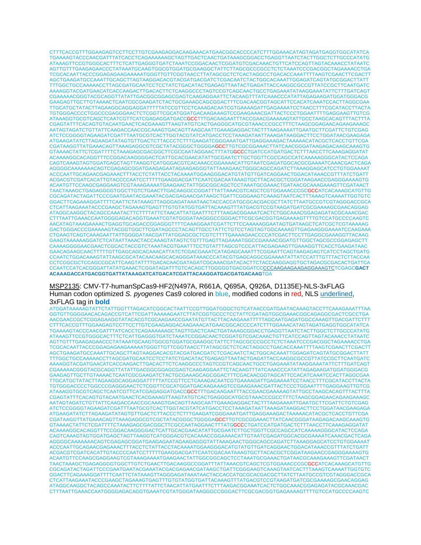CTTTCACCGTTTGGAAGAGTCCTTCCTTGTCGAAGAGGACAAGAAACATGAACGGCACCCCATCTTTGGAAACATAGTAGATGAGGTGGCATATCA TGAAAAGTACCCAACGATTTATCACCTCAGAAAAAAGCTAGTTGACTCAACTGATAAAGCGGACCTGAGGTTAATCTACTTGGCTCTTGCCCATATG ATAAAGTTCCGTGGGCACTTTCTCATTGAGGGTGATCTAAATCCGGACAACTCGGATGTCGACAAACTGTTCATCCAGTTAGTACAAACCTATAATC AGTTGTTTGAAGAGAACCCTATAAATGCAAGTGGCGTGGATGCGAAGGCTATTCTTAGCGCCCGCCTCTCTAAATCCCGACGGCTAGAAAACCTGA TCGCACAATTACCCGGAGAGAAGAAAAATGGGTTGTTCGGTAACCTTATAGCGCTCTCACTAGGCCTGACACCAAATTTTAAGTCGAACTTCGACTT AGCTGAAGATGCCAAATTGCAGCTTAGTAAGGACACGTACGATGACGATCTCGACAATCTACTGGCACAAATTGGAGATCAGTATGCGGACTTATT TTTGGCTGCCAAAAACCTTAGCGATGCAATCCTCCTATCTGACATACTGAGAGTTAATACTGAGATTACCAAGGCGCCGTTATCCGCTTCAATGATC AAAAGGTACGATGAACATCACCAAGACTTGACACTTCTCAAGGCCCTAGTCCGTCAGCAACTGCCTGAGAAATATAAGGAAATATTCTTTGATCAGT CGAAAAACGGGTACGCAGGTTATATTGACGGCGGAGCGAGTCAAGAGGAATTCTACAAGTTTATCAAACCCATATTAGAGAAGATGGATGGGACG GAAGAGTTGCTTGTAAAACTCAATCGCGAAGATCTACTGCGAAAGCAGCGGACTTTCGACAACGGTAGCATTCCACATCAAATCCACTTAGGCGAA TTGCATGCTATACTTAGAAGGCAGGAGGATTTTTATCCGTTCCTCAAAGACAATCGTGAAAAGATTGAGAAAATCCTAACCTTTCGCATACCTTACTA TGTGGGACCCCTGGCCCGAGGGAACTCTCGGTTCGCATGGATGACAAGAAAGTCCGAAGAAACGATTACTCCCTGGAATTTTGAGGAAGTTGTCG ATAAAGGTGCGTCAGCTCAATCGTTCATCGAGAGGATGACCGCCTTTGACAAGAATTTACCGAACGAAAAAGTATTGCCTAAGCACAGTTTACTTTA CGAGTATTTCACAGTGTACAATGAACTCACGAAAGTTAAGTATGTCACTGAGGGCATGCGTAAACCCGCCTTTCTAAGCGGAGAACAGAAGAAAGC AATAGTAGATCTGTTATTCAAGACCAACCGCAAAGTGACAGTTAAGCAATTGAAAGAGGACTACTTTAAGAAAATTGAATGCTTCGATTCTGTCGAG ATCTCCGGGGTAGAAGATCGATTTAATGCGTCACTTGGTACGTATCATGACCTCCTAAAGATAATTAAAGATAAGGACTTCCTGGATAACGAAGAGA ATGAAGATATCTTAGAAGATATAGTGTTGACTCTTACCCTCTTTGAAGATCGGGAAATGATTGAGGAAAGACTAAAAACATACGCTCACCTGTTCGA CGATAAGGTTATGAAACAGTTAAAGAGGCGTCGCTATACGGGCTGGGGAGCCTTGTCGCGGAAACTTATCAACGGGATAAGAGACAAGCAAAGTG GTAAAACTATTCTCGATTTTCTAAAGAGCGACGGCTTCGCCAATAGGAACTTTATGGCCCTGATCCATGATGACTCTTTAACCTTCAAAGAGGATAT ACAAAAGGCACAGGTTTCCGGACAAGGGGACTCATTGCACGAACATATTGCGAATCTTGCTGGTTCGCCAGCCATCAAAAAGGGCATACTCCAGA CAGTCAAAGTAGTGGATGAGCTAGTTAAGGTCATGGGACGTCACAAACCGGAAAACATTGTAATCGAGATGGCACGCGAAAATCAAACGACTCAGA AGGGGCAAAAAAACAGTCGAGAGCGGATGAAGAGAATAGAAGAGGGTATTAAAGAACTGGGCAGCCAGATCTTAAAGGAGCATCCTGTGGAAAAT ACCCAATTGCAGAACGAGAAACTTTACCTCTATTACCTACAAAATGGAAGGGACATGTATGTTGATCAGGAACTGGACATAAACCGTTTATCTGATT ACGACGTCGATCACATTGTACCCCAATCCTTTTTGAAGGACGATTCAATCGACAATAAAGTGCTTACACGCTCGGATAAGAACCGAGGGAAAAGTG ACAATGTTCCAAGCGAGGAAGTCGTAAAGAAAATGAAGAACTATTGGCGGCAGCTCCTAAATGCGAAACTGATAACGCAAAGAAAGTTCGATAACT TAACTAAAGCTGAGAGGGGTGGCTTGTCTGAACTTGACAAGGCCGGATTTATTAAACGTCAGCTCGTGGAAACCCGCGCCATCACAAAGCATGTTG CGCAGATACTAGATTCCCGAATGAATACGAAATACGACGAGAACGATAAGCTGATTCGGGAAGTCAAAGTAATCACTTTAAAGTCAAAATTGGTGTC GGACTTCAGAAAGGATTTTCAATTCTATAAAGTTAGGGAGATAAATAACTACCACCATGCGCACGACGCTTATCTTAATGCCGTCGTAGGGACCGCA CTCATTAAGAAATACCCGAAGCTAGAAAGTGAGTTTGTGTATGGTGATTACAAAGTTTATGACGTCCGTAAGATGATCGCGAAAAGCGAACAGGAG ATAGGCAAGGCTACAGCCAAATACTTCTTTTATTCTAACATTATGAATTTCTTTAAGACGGAAATCACTCTGGCAAACGGAGAGATACGCAAACGAC CTTTAATTGAAACCAATGGGGAGACAGGTGAAATCGTATGGGATAAGGGCCGGGACTTCGCGACGGTGAGAAAAGTTTTGTCCATGCCCCAAGTC AACATAGTAAAGAAAACTGAGGTGCAGACCGGAGGGTTTTCAAAGGAATCGATTCTTCCAAAAAGGAATAGTGATAAGCTCATCGCTCGTAAAAAG GACTGGGACCCGAAAAAGTACGGTGGCTTCGATAGCCCTACAGTTGCCTATTCTGTCCTAGTAGTGGCAAAAGTTGAGAAGGGAAAATCCAAGAAA CTGAAGTCAGTCAAAGAATTATTGGGGATAACGATTATGGAGCGCTCGTCTTTTGAAAAGAACCCCATCGACTTCCTTGAGGCGAAAGGTTACAAG GAAGTAAAAAAGGATCTCATAATTAAACTACCAAAGTATAGTCTGTTTGAGTTAGAAAATGGCCGAAAACGGATGTTGGCTAGCGCCGGAGAGCTT CAAAAGGGGAACGAACTCGCACTACCGTCTAAATACGTGAATTTCCTGTATTTAGCGTCCCATTACGAGAAGTTGAAAGGTTCACCTGAAGATAAC GAACAGAAGCAACTTTTTGTTGAGCAGCACAAACATTATCTCGACGAAATCATAGAGCAAATTTCGGAATTCAGTAAGAGAGTCATCCTAGCTGATG CCAATCTGGACAAAGTATTAAGCGCATACAACAAGCACAGGGATAAACCCATACGTGAGCAGGCGGAAAATATTATCCATTTGTTTACTCTTACCAA CCTCGGCGCTCCAGCCGCATTCAAGTATTTTGACACAACGATAGATCGCAAACGATACACTTCTACCAAGGAGGTGCTAGACGCGACACTGATTCA CCAATCCATCACGGGATTATATGAAACTCGGATAGATTTGTCACAGCTTGGGGGTGACGGATCCCCCAAGAAGAAGAGGAAAGTCTCGAGC**GACT ACAAAGACCATGACGGTGATTATAAAGATCATGACATCGATTACAAGGATGACGATGACAAG**TGA

### MSP2135: CMV-T7-humanSpCas9-HF2(N497A, R661A, Q695A, Q926A, D1135E)-NLS-3xFLAG Human codon optimized *S. pyogenes* Cas9 colored in blue, modified codons in red, NLS underlined, 3xFLAG tag in **bold**

ATGGATAAAAAGTATTCTATTGGTTTAGACATCGGCACTAATTCCGTTGGATGGGCTGTCATAACCGATGAATACAAAGTACCTTCAAAGAAATTTAA GGTGTTGGGGAACACAGACCGTCATTCGATTAAAAAGAATCTTATCGGTGCCCTCCTATTCGATAGTGGCGAAACGGCAGAGGCGACTCGCCTGA AACGAACCGCTCGGAGAAGGTATACACGTCGCAAGAACCGAATATGTTACTTACAAGAAATTTTTAGCAATGAGATGGCCAAAGTTGACGATTCTTT CTTTCACCGTTTGGAAGAGTCCTTCCTTGTCGAAGAGGACAAGAAACATGAACGGCACCCCATCTTTGGAAACATAGTAGATGAGGTGGCATATCA TGAAAAGTACCCAACGATTTATCACCTCAGAAAAAAGCTAGTTGACTCAACTGATAAAGCGGACCTGAGGTTAATCTACTTGGCTCTTGCCCATATG ATAAAGTTCCGTGGGCACTTTCTCATTGAGGGTGATCTAAATCCGGACAACTCGGATGTCGACAAACTGTTCATCCAGTTAGTACAAACCTATAATC AGTTGTTTGAAGAGAACCCTATAAATGCAAGTGGCGTGGATGCGAAGGCTATTCTTAGCGCCCGCCTCTCTAAATCCCGACGGCTAGAAAACCTGA TCGCACAATTACCCGGAGAGAAGAAAAATGGGTTGTTCGGTAACCTTATAGCGCTCTCACTAGGCCTGACACCAAATTTTAAGTCGAACTTCGACTT AGCTGAAGATGCCAAATTGCAGCTTAGTAAGGACACGTACGATGACGATCTCGACAATCTACTGGCACAAATTGGAGATCAGTATGCGGACTTATT TTTGGCTGCCAAAAACCTTAGCGATGCAATCCTCCTATCTGACATACTGAGAGTTAATACTGAGATTACCAAGGCGCCGTTATCCGCTTCAATGATC AAAAGGTACGATGAACATCACCAAGACTTGACACTTCTCAAGGCCCTAGTCCGTCAGCAACTGCCTGAGAAATATAAGGAAATATTCTTTGATCAGT CGAAAAACGGGTACGCAGGTTATATTGACGGCGGAGCGAGTCAAGAGGAATTCTACAAGTTTATCAAACCCATATTAGAGAAGATGGATGGGACG GAAGAGTTGCTTGTAAAACTCAATCGCGAAGATCTACTGCGAAAGCAGCGGACTTTCGACAACGGTAGCATTCCACATCAAATCCACTTAGGCGAA TTGCATGCTATACTTAGAAGGCAGGAGGATTTTTATCCGTTCCTCAAAGACAATCGTGAAAAGATTGAGAAAATCCTAACCTTTCGCATACCTTACTA TGTGGGACCCCTGGCCCGAGGGAACTCTCGGTTCGCATGGATGACAAGAAAGTCCGAAGAAACGATTACTCCCTGGAATTTTGAGGAAGTTGTCG ATAAAGGTGCGTCAGCTCAATCGTTCATCGAGAGGATGACCGCCTTTGACAAGAATTTACCGAACGAAAAAGTATTGCCTAAGCACAGTTTACTTTA CGAGTATTTCACAGTGTACAATGAACTCACGAAAGTTAAGTATGTCACTGAGGGCATGCGTAAACCCGCCTTTCTAAGCGGAGAACAGAAGAAAGC AATAGTAGATCTGTTATTCAAGACCAACCGCAAAGTGACAGTTAAGCAATTGAAAGAGGACTACTTTAAGAAAATTGAATGCTTCGATTCTGTCGAG ATCTCCGGGGTAGAAGATCGATTTAATGCGTCACTTGGTACGTATCATGACCTCCTAAAGATAATTAAAGATAAGGACTTCCTGGATAACGAAGAGA ATGAAGATATCTTAGAAGATATAGTGTTGACTCTTACCCTCTTTGAAGATCGGGAAATGATTGAGGAAAGACTAAAAACATACGCTCACCTGTTCGA CGATAAGGTTATGAAACAGTTAAAGAGGCGTCGCTATACGGGCTGGGGAGCCTTGTCGCGGAAACTTATCAACGGGATAAGAGACAAGCAAAGTG GTAAAACTATTCTCGATTTTCTAAAGAGCGACGGCTTCGCCAATAGGAACTTTATGGCCCTGATCCATGATGACTCTTTAACCTTCAAAGAGGATAT ACAAAAGGCACAGGTTTCCGGACAAGGGGACTCATTGCACGAACATATTGCGAATCTTGCTGGTTCGCCAGCCATCAAAAAGGGCATACTCCAGA CAGTCAAAGTAGTGGATGAGCTAGTTAAGGTCATGGGACGTCACAAACCGGAAAACATTGTAATCGAGATGGCACGCGAAAATCAAACGACTCAGA AGGGGCAAAAAAACAGTCGAGAGCGGATGAAGAGAATAGAAGAGGGTATTAAAGAACTGGGCAGCCAGATCTTAAAGGAGCATCCTGTGGAAAAT ACCCAATTGCAGAACGAGAAACTTTACCTCTATTACCTACAAAATGGAAGGGACATGTATGTTGATCAGGAACTGGACATAAACCGTTTATCTGATT ACGACGTCGATCACATTGTACCCCAATCCTTTTTGAAGGACGATTCAATCGACAATAAAGTGCTTACACGCTCGGATAAGAACCGAGGGAAAAGTG ACAATGTTCCAAGCGAGGAAGTCGTAAAGAAAATGAAGAACTATTGGCGGCAGCTCCTAAATGCGAAACTGATAACGCAAAGAAAGTTCGATAACT TAACTAAAGCTGAGAGGGGTGGCTTGTCTGAACTTGACAAGGCCGGATTTATTAAACGTCAGCTCGTGGAAACCCGCGCCATCACAAAGCATGTTG CGCAGATACTAGATTCCCGAATGAATACGAAATACGACGAGAACGATAAGCTGATTCGGGAAGTCAAAGTAATCACTTTAAAGTCAAAATTGGTGTC GGACTTCAGAAAGGATTTTCAATTCTATAAAGTTAGGGAGATAAATAACTACCACCATGCGCACGACGCTTATCTTAATGCCGTCGTAGGGACCGCA CTCATTAAGAAATACCCGAAGCTAGAAAGTGAGTTTGTGTATGGTGATTACAAAGTTTATGACGTCCGTAAGATGATCGCGAAAAGCGAACAGGAG ATAGGCAAGGCTACAGCCAAATACTTCTTTTATTCTAACATTATGAATTTCTTTAAGACGGAAATCACTCTGGCAAACGGAGAGATACGCAAACGAC CTTTAATTGAAACCAATGGGGAGACAGGTGAAATCGTATGGGATAAGGGCCGGGACTTCGCGACGGTGAGAAAAGTTTTGTCCATGCCCCAAGTC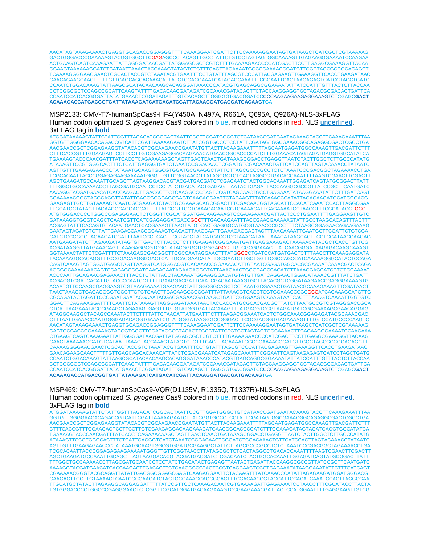AACATAGTAAAGAAAACTGAGGTGCAGACCGGAGGGTTTTCAAAGGAATCGATTCTTCCAAAAAGGAATAGTGATAAGCTCATCGCTCGTAAAAAG GACTGGGACCCGAAAAAGTACGGTGGCTTCGAGAGCCCTACAGTTGCCTATTCTGTCCTAGTAGTGGCAAAAGTTGAGAAGGGAAAATCCAAGAA ACTGAAGTCAGTCAAAGAATTATTGGGGATAACGATTATGGAGCGCTCGTCTTTTGAAAAGAACCCCATCGACTTCCTTGAGGCGAAAGGTTACAA GGAAGTAAAAAAGGATCTCATAATTAAACTACCAAAGTATAGTCTGTTTGAGTTAGAAAATGGCCGAAAACGGATGTTGGCTAGCGCCGGAGAGCT TCAAAAGGGGAACGAACTCGCACTACCGTCTAAATACGTGAATTTCCTGTATTTAGCGTCCCATTACGAGAAGTTGAAAGGTTCACCTGAAGATAAC GAACAGAAGCAACTTTTTGTTGAGCAGCACAAACATTATCTCGACGAAATCATAGAGCAAATTTCGGAATTCAGTAAGAGAGTCATCCTAGCTGATG CCAATCTGGACAAAGTATTAAGCGCATACAACAAGCACAGGGATAAACCCATACGTGAGCAGGCGGAAAATATTATCCATTTGTTTACTCTTACCAA CCTCGGCGCTCCAGCCGCATTCAAGTATTTTGACACAACGATAGATCGCAAACGATACACTTCTACCAAGGAGGTGCTAGACGCGACACTGATTCA CCAATCCATCACGGGATTATATGAAACTCGGATAGATTTGTCACAGCTTGGGGGTGACGGATCCCCCAAGAAGAAGAGGAAAGTCTCGAGC**GACT ACAAAGACCATGACGGTGATTATAAAGATCATGACATCGATTACAAGGATGACGATGACAAG**TGA

MSP2133: CMV-T7-humanSpCas9-HF4(Y450A, N497A, R661A, Q695A, Q926A)-NLS-3xFLAG Human codon optimized *S. pyogenes* Cas9 colored in blue, modified codons in red, NLS underlined, 3xFLAG tag in **bold**

ATGGATAAAAAGTATTCTATTGGTTTAGACATCGGCACTAATTCCGTTGGATGGGCTGTCATAACCGATGAATACAAAGTACCTTCAAAGAAATTTAA GGTGTTGGGGAACACAGACCGTCATTCGATTAAAAAGAATCTTATCGGTGCCCTCCTATTCGATAGTGGCGAAACGGCAGAGGCGACTCGCCTGA AACGAACCGCTCGGAGAAGGTATACACGTCGCAAGAACCGAATATGTTACTTACAAGAAATTTTTAGCAATGAGATGGCCAAAGTTGACGATTCTTT CTTTCACCGTTTGGAAGAGTCCTTCCTTGTCGAAGAGGACAAGAAACATGAACGGCACCCCATCTTTGGAAACATAGTAGATGAGGTGGCATATCA TGAAAAGTACCCAACGATTTATCACCTCAGAAAAAAGCTAGTTGACTCAACTGATAAAGCGGACCTGAGGTTAATCTACTTGGCTCTTGCCCATATG ATAAAGTTCCGTGGGCACTTTCTCATTGAGGGTGATCTAAATCCGGACAACTCGGATGTCGACAAACTGTTCATCCAGTTAGTACAAACCTATAATC AGTTGTTTGAAGAGAACCCTATAAATGCAAGTGGCGTGGATGCGAAGGCTATTCTTAGCGCCCGCCTCTCTAAATCCCGACGGCTAGAAAACCTGA TCGCACAATTACCCGGAGAGAAGAAAAATGGGTTGTTCGGTAACCTTATAGCGCTCTCACTAGGCCTGACACCAAATTTTAAGTCGAACTTCGACTT AGCTGAAGATGCCAAATTGCAGCTTAGTAAGGACACGTACGATGACGATCTCGACAATCTACTGGCACAAATTGGAGATCAGTATGCGGACTTATT TTTGGCTGCCAAAAACCTTAGCGATGCAATCCTCCTATCTGACATACTGAGAGTTAATACTGAGATTACCAAGGCGCCGTTATCCGCTTCAATGATC AAAAGGTACGATGAACATCACCAAGACTTGACACTTCTCAAGGCCCTAGTCCGTCAGCAACTGCCTGAGAAATATAAGGAAATATTCTTTGATCAGT CGAAAAACGGGTACGCAGGTTATATTGACGGCGGAGCGAGTCAAGAGGAATTCTACAAGTTTATCAAACCCATATTAGAGAAGATGGATGGGACG GAAGAGTTGCTTGTAAAACTCAATCGCGAAGATCTACTGCGAAAGCAGCGGACTTTCGACAACGGTAGCATTCCACATCAAATCCACTTAGGCGAA TTGCATGCTATACTTAGAAGGCAGGAGGATTTTTATCCGTTCCTCAAAGACAATCGTGAAAAGATTGAGAAAATCCTAACCTTTCGCATACCTGCCT ATGTGGGACCCCTGGCCCGAGGGAACTCTCGGTTCGCATGGATGACAAGAAAGTCCGAAGAAACGATTACTCCCTGGAATTTTGAGGAAGTTGTC GATAAAGGTGCGTCAGCTCAATCGTTCATCGAGAGGATGACCGCCTTTGACAAGAATTTACCGAACGAAAAAGTATTGCCTAAGCACAGTTTACTTT ACGAGTATTTCACAGTGTACAATGAACTCACGAAAGTTAAGTATGTCACTGAGGGCATGCGTAAACCCGCCTTTCTAAGCGGAGAACAGAAGAAAG CAATAGTAGATCTGTTATTCAAGACCAACCGCAAAGTGACAGTTAAGCAATTGAAAGAGGACTACTTTAAGAAAATTGAATGCTTCGATTCTGTCGA GATCTCCGGGGTAGAAGATCGATTTAATGCGTCACTTGGTACGTATCATGACCTCCTAAAGATAATTAAAGATAAGGACTTCCTGGATAACGAAGAG AATGAAGATATCTTAGAAGATATAGTGTTGACTCTTACCCTCTTTGAAGATCGGGAAATGATTGAGGAAAGACTAAAAACATACGCTCACCTGTTCG ACGATAAGGTTATGAAACAGTTAAAGAGGCGTCGCTATACGGGCTGGGGAGCCTTGTCGCGGAAACTTATCAACGGGATAAGAGACAAGCAAAGT GGTAAAACTATTCTCGATTTTCTAAAGAGCGACGGCTTCGCCAATAGGAACTTTATGGCCCTGATCCATGATGACTCTTTAACCTTCAAAGAGGATA TACAAAAGGCACAGGTTTCCGGACAAGGGGACTCATTGCACGAACATATTGCGAATCTTGCTGGTTCGCCAGCCATCAAAAAGGGCATACTCCAGA CAGTCAAAGTAGTGGATGAGCTAGTTAAGGTCATGGGACGTCACAAACCGGAAAACATTGTAATCGAGATGGCACGCGAAAATCAAACGACTCAGA AGGGGCAAAAAAACAGTCGAGAGCGGATGAAGAGAATAGAAGAGGGTATTAAAGAACTGGGCAGCCAGATCTTAAAGGAGCATCCTGTGGAAAAT ACCCAATTGCAGAACGAGAAACTTTACCTCTATTACCTACAAAATGGAAGGGACATGTATGTTGATCAGGAACTGGACATAAACCGTTTATCTGATT ACGACGTCGATCACATTGTACCCCAATCCTTTTTGAAGGACGATTCAATCGACAATAAAGTGCTTACACGCTCGGATAAGAACCGAGGGAAAAGTG ACAATGTTCCAAGCGAGGAAGTCGTAAAGAAAATGAAGAACTATTGGCGGCAGCTCCTAAATGCGAAACTGATAACGCAAAGAAAGTTCGATAACT TAACTAAAGCTGAGAGGGGTGGCTTGTCTGAACTTGACAAGGCCGGATTTATTAAACGTCAGCTCGTGGAAACCCGCGCCATCACAAAGCATGTTG CGCAGATACTAGATTCCCGAATGAATACGAAATACGACGAGAACGATAAGCTGATTCGGGAAGTCAAAGTAATCACTTTAAAGTCAAAATTGGTGTC GGACTTCAGAAAGGATTTTCAATTCTATAAAGTTAGGGAGATAAATAACTACCACCATGCGCACGACGCTTATCTTAATGCCGTCGTAGGGACCGCA CTCATTAAGAAATACCCGAAGCTAGAAAGTGAGTTTGTGTATGGTGATTACAAAGTTTATGACGTCCGTAAGATGATCGCGAAAAGCGAACAGGAG ATAGGCAAGGCTACAGCCAAATACTTCTTTTATTCTAACATTATGAATTTCTTTAAGACGGAAATCACTCTGGCAAACGGAGAGATACGCAAACGAC CTTTAATTGAAACCAATGGGGAGACAGGTGAAATCGTATGGGATAAGGGCCGGGACTTCGCGACGGTGAGAAAAGTTTTGTCCATGCCCCAAGTC AACATAGTAAAGAAAACTGAGGTGCAGACCGGAGGGTTTTCAAAGGAATCGATTCTTCCAAAAAGGAATAGTGATAAGCTCATCGCTCGTAAAAAG GACTGGGACCCGAAAAAGTACGGTGGCTTCGATAGCCCTACAGTTGCCTATTCTGTCCTAGTAGTGGCAAAAGTTGAGAAGGGAAAATCCAAGAAA CTGAAGTCAGTCAAAGAATTATTGGGGATAACGATTATGGAGCGCTCGTCTTTTGAAAAGAACCCCATCGACTTCCTTGAGGCGAAAGGTTACAAG GAAGTAAAAAAGGATCTCATAATTAAACTACCAAAGTATAGTCTGTTTGAGTTAGAAAATGGCCGAAAACGGATGTTGGCTAGCGCCGGAGAGCTT CAAAAGGGGAACGAACTCGCACTACCGTCTAAATACGTGAATTTCCTGTATTTAGCGTCCCATTACGAGAAGTTGAAAGGTTCACCTGAAGATAAC GAACAGAAGCAACTTTTTGTTGAGCAGCACAAACATTATCTCGACGAAATCATAGAGCAAATTTCGGAATTCAGTAAGAGAGTCATCCTAGCTGATG CCAATCTGGACAAAGTATTAAGCGCATACAACAAGCACAGGGATAAACCCATACGTGAGCAGGCGGAAAATATTATCCATTTGTTTACTCTTACCAA CCTCGGCGCTCCAGCCGCATTCAAGTATTTTGACACAACGATAGATCGCAAACGATACACTTCTACCAAGGAGGTGCTAGACGCGACACTGATTCA CCAATCCATCACGGGATTATATGAAACTCGGATAGATTTGTCACAGCTTGGGGGTGACGGATCCCCCAAGAAGAAGAGGAAAGTCTCGAGC**GACT ACAAAGACCATGACGGTGATTATAAAGATCATGACATCGATTACAAGGATGACGATGACAAG**TGA

MSP469: CMV-T7-humanSpCas9-VQR(D1135V, R1335Q, T1337R)-NLS-3xFLAG Human codon optimized *S. pyogenes* Cas9 colored in blue, modified codons in red, NLS underlined, 3xFLAG tag in **bold**

ATGGATAAAAAGTATTCTATTGGTTTAGACATCGGCACTAATTCCGTTGGATGGGCTGTCATAACCGATGAATACAAAGTACCTTCAAAGAAATTTAA GGTGTTGGGGAACACAGACCGTCATTCGATTAAAAAGAATCTTATCGGTGCCCTCCTATTCGATAGTGGCGAAACGGCAGAGGCGACTCGCCTGA AACGAACCGCTCGGAGAAGGTATACACGTCGCAAGAACCGAATATGTTACTTACAAGAAATTTTTAGCAATGAGATGGCCAAAGTTGACGATTCTTT CTTTCACCGTTTGGAAGAGTCCTTCCTTGTCGAAGAGGACAAGAAACATGAACGGCACCCCATCTTTGGAAACATAGTAGATGAGGTGGCATATCA TGAAAAGTACCCAACGATTTATCACCTCAGAAAAAAGCTAGTTGACTCAACTGATAAAGCGGACCTGAGGTTAATCTACTTGGCTCTTGCCCATATG ATAAAGTTCCGTGGGCACTTTCTCATTGAGGGTGATCTAAATCCGGACAACTCGGATGTCGACAAACTGTTCATCCAGTTAGTACAAACCTATAATC AGTTGTTTGAAGAGAACCCTATAAATGCAAGTGGCGTGGATGCGAAGGCTATTCTTAGCGCCCGCCTCTCTAAATCCCGACGGCTAGAAAACCTGA TCGCACAATTACCCGGAGAGAAGAAAAATGGGTTGTTCGGTAACCTTATAGCGCTCTCACTAGGCCTGACACCAAATTTTAAGTCGAACTTCGACTT AGCTGAAGATGCCAAATTGCAGCTTAGTAAGGACACGTACGATGACGATCTCGACAATCTACTGGCACAAATTGGAGATCAGTATGCGGACTTATT TTTGGCTGCCAAAAACCTTAGCGATGCAATCCTCCTATCTGACATACTGAGAGTTAATACTGAGATTACCAAGGCGCCGTTATCCGCTTCAATGATC AAAAGGTACGATGAACATCACCAAGACTTGACACTTCTCAAGGCCCTAGTCCGTCAGCAACTGCCTGAGAAATATAAGGAAATATTCTTTGATCAGT CGAAAAACGGGTACGCAGGTTATATTGACGGCGGAGCGAGTCAAGAGGAATTCTACAAGTTTATCAAACCCATATTAGAGAAGATGGATGGGACG GAAGAGTTGCTTGTAAAACTCAATCGCGAAGATCTACTGCGAAAGCAGCGGACTTTCGACAACGGTAGCATTCCACATCAAATCCACTTAGGCGAA TTGCATGCTATACTTAGAAGGCAGGAGGATTTTTATCCGTTCCTCAAAGACAATCGTGAAAAGATTGAGAAAATCCTAACCTTTCGCATACCTTACTA TGTGGGACCCCTGGCCCGAGGGAACTCTCGGTTCGCATGGATGACAAGAAAGTCCGAAGAAACGATTACTCCATGGAATTTTGAGGAAGTTGTCG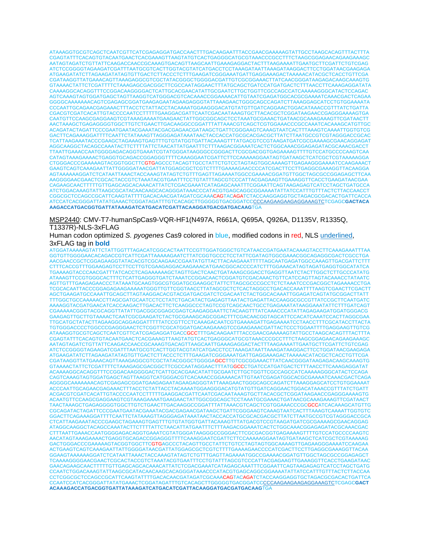ATAAAGGTGCGTCAGCTCAATCGTTCATCGAGAGGATGACCAACTTTGACAAGAATTTACCGAACGAAAAAGTATTGCCTAAGCACAGTTTACTTTA CGAGTATTTCACAGTGTACAATGAACTCACGAAAGTTAAGTATGTCACTGAGGGCATGCGTAAACCCGCCTTTCTAAGCGGAGAACAGAAGAAAGC AATAGTAGATCTGTTATTCAAGACCAACCGCAAAGTGACAGTTAAGCAATTGAAAGAGGACTACTTTAAGAAAATTGAATGCTTCGATTCTGTCGAG ATCTCCGGGGTAGAAGATCGATTTAATGCGTCACTTGGTACGTATCATGACCTCCTAAAGATAATTAAAGATAAGGACTTCCTGGATAACGAAGAGA ATGAAGATATCTTAGAAGATATAGTGTTGACTCTTACCCTCTTTGAAGATCGGGAAATGATTGAGGAAAGACTAAAAACATACGCTCACCTGTTCGA CGATAAGGTTATGAAACAGTTAAAGAGGCGTCGCTATACGGGCTGGGGACGATTGTCGCGGAAACTTATCAACGGGATAAGAGACAAGCAAAGTG GTAAAACTATTCTCGATTTTCTAAAGAGCGACGGCTTCGCCAATAGGAACTTTATGCAGCTGATCCATGATGACTCTTTAACCTTCAAAGAGGATATA CAAAAGGCACAGGTTTCCGGACAAGGGGACTCATTGCACGAACATATTGCGAATCTTGCTGGTTCGCCAGCCATCAAAAAGGGCATACTCCAGAC AGTCAAAGTAGTGGATGAGCTAGTTAAGGTCATGGGACGTCACAAACCGGAAAACATTGTAATCGAGATGGCACGCGAAAATCAAACGACTCAGAA GGGGCAAAAAAACAGTCGAGAGCGGATGAAGAGAATAGAAGAGGGTATTAAAGAACTGGGCAGCCAGATCTTAAAGGAGCATCCTGTGGAAAATA CCCAATTGCAGAACGAGAAACTTTACCTCTATTACCTACAAAATGGAAGGGACATGTATGTTGATCAGGAACTGGACATAAACCGTTTATCTGATTA CGACGTCGATCACATTGTACCCCAATCCTTTTTGAAGGACGATTCAATCGACAATAAAGTGCTTACACGCTCGGATAAGAACCGAGGGAAAAGTGA CAATGTTCCAAGCGAGGAAGTCGTAAAGAAAATGAAGAACTATTGGCGGCAGCTCCTAAATGCGAAACTGATAACGCAAAGAAAGTTCGATAACTT AACTAAAGCTGAGAGGGGTGGCTTGTCTGAACTTGACAAGGCCGGATTTATTAAACGTCAGCTCGTGGAAACCCGCCAAATCACAAAGCATGTTGC ACAGATACTAGATTCCCGAATGAATACGAAATACGACGAGAACGATAAGCTGATTCGGGAAGTCAAAGTAATCACTTTAAAGTCAAAATTGGTGTCG GACTTCAGAAAGGATTTTCAATTCTATAAAGTTAGGGAGATAAATAACTACCACCATGCGCACGACGCTTATCTTAATGCCGTCGTAGGGACCGCAC TCATTAAGAAATACCCGAAGCTAGAAAGTGAGTTTGTGTATGGTGATTACAAAGTTTATGACGTCCGTAAGATGATCGCGAAAAGCGAACAGGAGAT AGGCAAGGCTACAGCCAAATACTTCTTTTATTCTAACATTATGAATTTCTTTAAGACGGAAATCACTCTGGCAAACGGAGAGATACGCAAACGACCT TTAATTGAAACCAATGGGGAGACAGGTGAAATCGTATGGGATAAGGGCCGGGACTTCGCGACGGTGAGAAAAGTTTTGTCCATGCCCCAAGTCAA CATAGTAAAGAAAACTGAGGTGCAGACCGGAGGGTTTTCAAAGGAATCGATTCTTCCAAAAAGGAATAGTGATAAGCTCATCGCTCGTAAAAAGGA CTGGGACCCGAAAAAGTACGGTGGCTTCGTGAGCCCTACAGTTGCCTATTCTGTCCTAGTAGTGGCAAAAGTTGAGAAGGGAAAATCCAAGAAACT GAAGTCAGTCAAAGAATTATTGGGGATAACGATTATGGAGCGCTCGTCTTTTGAAAAGAACCCCATCGACTTCCTTGAGGCGAAAGGTTACAAGGA AGTAAAAAAGGATCTCATAATTAAACTACCAAAGTATAGTCTGTTTGAGTTAGAAAATGGCCGAAAACGGATGTTGGCTAGCGCCGGAGAGCTTCAA AAGGGGAACGAACTCGCACTACCGTCTAAATACGTGAATTTCCTGTATTTAGCGTCCCATTACGAGAAGTTGAAAGGTTCACCTGAAGATAACGAA CAGAAGCAACTTTTTGTTGAGCAGCACAAACATTATCTCGACGAAATCATAGAGCAAATTTCGGAATTCAGTAAGAGAGTCATCCTAGCTGATGCCA ATCTGGACAAAGTATTAAGCGCATACAACAAGCACAGGGATAAACCCATACGTGAGCAGGCGGAAAATATTATCCATTTGTTTACTCTTACCAACCT CGGCGCTCCAGCCGCATTCAAGTATTTTGACACAACGATAGATCGCAAACAGTACAGATCTACCAAGGAGGTGCTAGACGCGACACTGATTCACCA ATCCATCACGGGATTATATGAAACTCGGATAGATTTGTCACAGCTTGGGGGTGACGGATCCCCCAAGAAGAAGAGGAAAGTCTCGAGC**GACTACA AAGACCATGACGGTGATTATAAAGATCATGACATCGATTACAAGGATGACGATGACAAG**TGA

MSP2440: CMV-T7-humanSpCas9-VQR-HF1(N497A, R661A, Q695A, Q926A, D1135V, R1335Q, T1337R)-NLS-3xFLAG

Human codon optimized *S. pyogenes* Cas9 colored in blue, modified codons in red, NLS underlined, 3xFLAG tag in **bold**

ATGGATAAAAAGTATTCTATTGGTTTAGACATCGGCACTAATTCCGTTGGATGGGCTGTCATAACCGATGAATACAAAGTACCTTCAAAGAAATTTAA GGTGTTGGGGAACACAGACCGTCATTCGATTAAAAAGAATCTTATCGGTGCCCTCCTATTCGATAGTGGCGAAACGGCAGAGGCGACTCGCCTGA AACGAACCGCTCGGAGAAGGTATACACGTCGCAAGAACCGAATATGTTACTTACAAGAAATTTTTAGCAATGAGATGGCCAAAGTTGACGATTCTTT CTTTCACCGTTTGGAAGAGTCCTTCCTTGTCGAAGAGGACAAGAAACATGAACGGCACCCCATCTTTGGAAACATAGTAGATGAGGTGGCATATCA TGAAAAGTACCCAACGATTTATCACCTCAGAAAAAAGCTAGTTGACTCAACTGATAAAGCGGACCTGAGGTTAATCTACTTGGCTCTTGCCCATATG ATAAAGTTCCGTGGGCACTTTCTCATTGAGGGTGATCTAAATCCGGACAACTCGGATGTCGACAAACTGTTCATCCAGTTAGTACAAACCTATAATC AGTTGTTTGAAGAGAACCCTATAAATGCAAGTGGCGTGGATGCGAAGGCTATTCTTAGCGCCCGCCTCTCTAAATCCCGACGGCTAGAAAACCTGA TCGCACAATTACCCGGAGAGAAGAAAAATGGGTTGTTCGGTAACCTTATAGCGCTCTCACTAGGCCTGACACCAAATTTTAAGTCGAACTTCGACTT AGCTGAAGATGCCAAATTGCAGCTTAGTAAGGACACGTACGATGACGATCTCGACAATCTACTGGCACAAATTGGAGATCAGTATGCGGACTTATT TTTGGCTGCCAAAAACCTTAGCGATGCAATCCTCCTATCTGACATACTGAGAGTTAATACTGAGATTACCAAGGCGCCGTTATCCGCTTCAATGATC AAAAGGTACGATGAACATCACCAAGACTTGACACTTCTCAAGGCCCTAGTCCGTCAGCAACTGCCTGAGAAATATAAGGAAATATTCTTTGATCAGT CGAAAAACGGGTACGCAGGTTATATTGACGGCGGAGCGAGTCAAGAGGAATTCTACAAGTTTATCAAACCCATATTAGAGAAGATGGATGGGACG GAAGAGTTGCTTGTAAAACTCAATCGCGAAGATCTACTGCGAAAGCAGCGGACTTTCGACAACGGTAGCATTCCACATCAAATCCACTTAGGCGAA TTGCATGCTATACTTAGAAGGCAGGAGGATTTTTATCCGTTCCTCAAAGACAATCGTGAAAAGATTGAGAAAATCCTAACCTTTCGCATACCTTACTA TGTGGGACCCCTGGCCCGAGGGAACTCTCGGTTCGCATGGATGACAAGAAAGTCCGAAGAAACGATTACTCCCTGGAATTTTGAGGAAGTTGTCG ATAAAGGTGCGTCAGCTCAATCGTTCATCGAGAGGATGACCGCCTTTGACAAGAATTTACCGAACGAAAAAGTATTGCCTAAGCACAGTTTACTTTA CGAGTATTTCACAGTGTACAATGAACTCACGAAAGTTAAGTATGTCACTGAGGGCATGCGTAAACCCGCCTTTCTAAGCGGAGAACAGAAGAAAGC AATAGTAGATCTGTTATTCAAGACCAACCGCAAAGTGACAGTTAAGCAATTGAAAGAGGACTACTTTAAGAAAATTGAATGCTTCGATTCTGTCGAG ATCTCCGGGGTAGAAGATCGATTTAATGCGTCACTTGGTACGTATCATGACCTCCTAAAGATAATTAAAGATAAGGACTTCCTGGATAACGAAGAGA ATGAAGATATCTTAGAAGATATAGTGTTGACTCTTACCCTCTTTGAAGATCGGGAAATGATTGAGGAAAGACTAAAAACATACGCTCACCTGTTCGA CGATAAGGTTATGAAACAGTTAAAGAGGCGTCGCTATACGGGCTGGGGAGCCTTGTCGCGGAAACTTATCAACGGGATAAGAGACAAGCAAAGTG GTAAAACTATTCTCGATTTTCTAAAGAGCGACGGCTTCGCCAATAGGAACTTTATGGCCCTGATCCATGATGACTCTTTAACCTTCAAAGAGGATAT ACAAAAGGCACAGGTTTCCGGACAAGGGGACTCATTGCACGAACATATTGCGAATCTTGCTGGTTCGCCAGCCATCAAAAAGGGCATACTCCAGA CAGTCAAAGTAGTGGATGAGCTAGTTAAGGTCATGGGACGTCACAAACCGGAAAACATTGTAATCGAGATGGCACGCGAAAATCAAACGACTCAGA AGGGGCAAAAAAACAGTCGAGAGCGGATGAAGAGAATAGAAGAGGGTATTAAAGAACTGGGCAGCCAGATCTTAAAGGAGCATCCTGTGGAAAAT ACCCAATTGCAGAACGAGAAACTTTACCTCTATTACCTACAAAATGGAAGGGACATGTATGTTGATCAGGAACTGGACATAAACCGTTTATCTGATT ACGACGTCGATCACATTGTACCCCAATCCTTTTTGAAGGACGATTCAATCGACAATAAAGTGCTTACACGCTCGGATAAGAACCGAGGGAAAAGTG ACAATGTTCCAAGCGAGGAAGTCGTAAAGAAAATGAAGAACTATTGGCGGCAGCTCCTAAATGCGAAACTGATAACGCAAAGAAAGTTCGATAACT TAACTAAAGCTGAGAGGGGTGGCTTGTCTGAACTTGACAAGGCCGGATTTATTAAACGTCAGCTCGTGGAAACCCGCGCCATCACAAAGCATGTTG CGCAGATACTAGATTCCCGAATGAATACGAAATACGACGAGAACGATAAGCTGATTCGGGAAGTCAAAGTAATCACTTTAAAGTCAAAATTGGTGTC GGACTTCAGAAAGGATTTTCAATTCTATAAAGTTAGGGAGATAAATAACTACCACCATGCGCACGACGCTTATCTTAATGCCGTCGTAGGGACCGCA CTCATTAAGAAATACCCGAAGCTAGAAAGTGAGTTTGTGTATGGTGATTACAAAGTTTATGACGTCCGTAAGATGATCGCGAAAAGCGAACAGGAG ATAGGCAAGGCTACAGCCAAATACTTCTTTTATTCTAACATTATGAATTTCTTTAAGACGGAAATCACTCTGGCAAACGGAGAGATACGCAAACGAC CTTTAATTGAAACCAATGGGGAGACAGGTGAAATCGTATGGGATAAGGGCCGGGACTTCGCGACGGTGAGAAAAGTTTTGTCCATGCCCCAAGTC AACATAGTAAAGAAAACTGAGGTGCAGACCGGAGGGTTTTCAAAGGAATCGATTCTTCCAAAAAGGAATAGTGATAAGCTCATCGCTCGTAAAAAG GACTGGGACCCGAAAAAGTACGGTGGCTTCGTGAGCCCTACAGTTGCCTATTCTGTCCTAGTAGTGGCAAAAGTTGAGAAGGGAAAATCCAAGAA ACTGAAGTCAGTCAAAGAATTATTGGGGATAACGATTATGGAGCGCTCGTCTTTTGAAAAGAACCCCATCGACTTCCTTGAGGCGAAAGGTTACAA GGAAGTAAAAAAGGATCTCATAATTAAACTACCAAAGTATAGTCTGTTTGAGTTAGAAAATGGCCGAAAACGGATGTTGGCTAGCGCCGGAGAGCT TCAAAAGGGGAACGAACTCGCACTACCGTCTAAATACGTGAATTTCCTGTATTTAGCGTCCCATTACGAGAAGTTGAAAGGTTCACCTGAAGATAAC GAACAGAAGCAACTTTTTGTTGAGCAGCACAAACATTATCTCGACGAAATCATAGAGCAAATTTCGGAATTCAGTAAGAGAGTCATCCTAGCTGATG CCAATCTGGACAAAGTATTAAGCGCATACAACAAGCACAGGGATAAACCCATACGTGAGCAGGCGGAAAATATTATCCATTTGTTTACTCTTACCAA CCTCGGCGCTCCAGCCGCATTCAAGTATTTTGACACAACGATAGATCGCAAACAGTACAGATCTACCAAGGAGGTGCTAGACGCGACACTGATTCA CCAATCCATCACGGGATTATATGAAACTCGGATAGATTTGTCACAGCTTGGGGGTGACGGATCCCCCAAGAAGAAGAGGAAAGTCTCGAGC**GACT ACAAAGACCATGACGGTGATTATAAAGATCATGACATCGATTACAAGGATGACGATGACAAG**TGA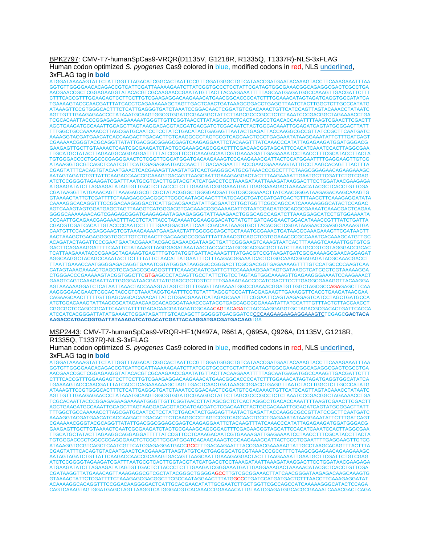### BPK2797: CMV-T7-humanSpCas9-VRQR(D1135V, G1218R, R1335Q, T1337R)-NLS-3xFLAG Human codon optimized *S. pyogenes* Cas9 colored in blue, modified codons in red, NLS underlined, 3xFLAG tag in **bold**

TCTATTGGTTTAGACATCGGCACTAATTCCGTTGGATGGGCTGTCATAACCGATGAATACAAAGTACCTTCAAAGAAATTTAA GGTGTTGGGGAACACAGACCGTCATTCGATTAAAAAGAATCTTATCGGTGCCCTCCTATTCGATAGTGGCGAAACGGCAGAGGCGACTCGCCTGA AACGAACCGCTCGGAGAAGGTATACACGTCGCAAGAACCGAATATGTTACTTACAAGAAATTTTTAGCAATGAGATGGCCAAAGTTGACGATTCTTT CTTTCACCGTTTGGAAGAGTCCTTCCTTGTCGAAGAGGACAAGAAACATGAACGGCACCCCATCTTTGGAAACATAGTAGATGAGGTGGCATATCA TGAAAAGTACCCAACGATTTATCACCTCAGAAAAAAGCTAGTTGACTCAACTGATAAAGCGGACCTGAGGTTAATCTACTTGGCTCTTGCCCATATG ATAAAGTTCCGTGGGCACTTTCTCATTGAGGGTGATCTAAATCCGGACAACTCGGATGTCGACAAACTGTTCATCCAGTTAGTACAAACCTATAATC AGTTGTTTGAAGAGAACCCTATAAATGCAAGTGGCGTGGATGCGAAGGCTATTCTTAGCGCCCGCCTCTCTAAATCCCGACGGCTAGAAAACCTGA TCGCACAATTACCCGGAGAGAAGAAAAATGGGTTGTTCGGTAACCTTATAGCGCTCTCACTAGGCCTGACACCAAATTTTAAGTCGAACTTCGACTT AGCTGAAGATGCCAAATTGCAGCTTAGTAAGGACACGTACGATGACGATCTCGACAATCTACTGGCACAAATTGGAGATCAGTATGCGGACTTATT TTTGGCTGCCAAAAACCTTAGCGATGCAATCCTCCTATCTGACATACTGAGAGTTAATACTGAGATTACCAAGGCGCCGTTATCCGCTTCAATGATC AAAAGGTACGATGAACATCACCAAGACTTGACACTTCTCAAGGCCCTAGTCCGTCAGCAACTGCCTGAGAAATATAAGGAAATATTCTTTGATCAGT CGAAAAACGGGTACGCAGGTTATATTGACGGCGGAGCGAGTCAAGAGGAATTCTACAAGTTTATCAAACCCATATTAGAGAAGATGGATGGGACG GAAGAGTTGCTTGTAAAACTCAATCGCGAAGATCTACTGCGAAAGCAGCGGACTTTCGACAACGGTAGCATTCCACATCAAATCCACTTAGGCGAA TTGCATGCTATACTTAGAAGGCAGGAGGATTTTTATCCGTTCCTCAAAGACAATCGTGAAAAGATTGAGAAAATCCTAACCTTTCGCATACCTTACTA TGTGGGACCCCTGGCCCGAGGGAACTCTCGGTTCGCATGGATGACAAGAAAGTCCGAAGAAACGATTACTCCATGGAATTTTGAGGAAGTTGTCG ATAAAGGTGCGTCAGCTCAATCGTTCATCGAGAGGATGACCAACTTTGACAAGAATTTACCGAACGAAAAAGTATTGCCTAAGCACAGTTTACTTTA CGAGTATTTCACAGTGTACAATGAACTCACGAAAGTTAAGTATGTCACTGAGGGCATGCGTAAACCCGCCTTTCTAAGCGGAGAACAGAAGAAAGC AATAGTAGATCTGTTATTCAAGACCAACCGCAAAGTGACAGTTAAGCAATTGAAAGAGGACTACTTTAAGAAAATTGAATGCTTCGATTCTGTCGAG ATCTCCGGGGTAGAAGATCGATTTAATGCGTCACTTGGTACGTATCATGACCTCCTAAAGATAATTAAAGATAAGGACTTCCTGGATAACGAAGAGA ATGAAGATATCTTAGAAGATATAGTGTTGACTCTTACCCTCTTTGAAGATCGGGAAATGATTGAGGAAAGACTAAAAACATACGCTCACCTGTTCGA CGATAAGGTTATGAAACAGTTAAAGAGGCGTCGCTATACGGGCTGGGGACGATTGTCGCGGAAACTTATCAACGGGATAAGAGACAAGCAAAGTG GTAAAACTATTCTCGATTTTCTAAAGAGCGACGGCTTCGCCAATAGGAACTTTATGCAGCTGATCCATGATGACTCTTTAACCTTCAAAGAGGATATA CAAAAGGCACAGGTTTCCGGACAAGGGGACTCATTGCACGAACATATTGCGAATCTTGCTGGTTCGCCAGCCATCAAAAAGGGCATACTCCAGAC AGTCAAAGTAGTGGATGAGCTAGTTAAGGTCATGGGACGTCACAAACCGGAAAACATTGTAATCGAGATGGCACGCGAAAATCAAACGACTCAGAA GGGGCAAAAAAACAGTCGAGAGCGGATGAAGAGAATAGAAGAGGGTATTAAAGAACTGGGCAGCCAGATCTTAAAGGAGCATCCTGTGGAAAATA CCCAATTGCAGAACGAGAAACTTTACCTCTATTACCTACAAAATGGAAGGGACATGTATGTTGATCAGGAACTGGACATAAACCGTTTATCTGATTA CGACGTCGATCACATTGTACCCCAATCCTTTTTGAAGGACGATTCAATCGACAATAAAGTGCTTACACGCTCGGATAAGAACCGAGGGAAAAGTGA CAATGTTCCAAGCGAGGAAGTCGTAAAGAAAATGAAGAACTATTGGCGGCAGCTCCTAAATGCGAAACTGATAACGCAAAGAAAGTTCGATAACTT AACTAAAGCTGAGAGGGGTGGCTTGTCTGAACTTGACAAGGCCGGATTTATTAAACGTCAGCTCGTGGAAACCCGCCAAATCACAAAGCATGTTGC ACAGATACTAGATTCCCGAATGAATACGAAATACGACGAGAACGATAAGCTGATTCGGGAAGTCAAAGTAATCACTTTAAAGTCAAAATTGGTGTCG GACTTCAGAAAGGATTTTCAATTCTATAAAGTTAGGGAGATAAATAACTACCACCATGCGCACGACGCTTATCTTAATGCCGTCGTAGGGACCGCAC TCATTAAGAAATACCCGAAGCTAGAAAGTGAGTTTGTGTATGGTGATTACAAAGTTTATGACGTCCGTAAGATGATCGCGAAAAGCGAACAGGAGAT AGGCAAGGCTACAGCCAAATACTTCTTTTATTCTAACATTATGAATTTCTTTAAGACGGAAATCACTCTGGCAAACGGAGAGATACGCAAACGACCT TTAATTGAAACCAATGGGGAGACAGGTGAAATCGTATGGGATAAGGGCCGGGACTTCGCGACGGTGAGAAAAGTTTTGTCCATGCCCCAAGTCAA CATAGTAAAGAAAACTGAGGTGCAGACCGGAGGGTTTTCAAAGGAATCGATTCTTCCAAAAAGGAATAGTGATAAGCTCATCGCTCGTAAAAAGGA CTGGGACCCGAAAAAGTACGGTGGCTTCGTGAGCCCTACAGTTGCCTATTCTGTCCTAGTAGTGGCAAAAGTTGAGAAGGGAAAATCCAAGAAACT GAAGTCAGTCAAAGAATTATTGGGGATAACGATTATGGAGCGCTCGTCTTTTGAAAAGAACCCCATCGACTTCCTTGAGGCGAAAGGTTACAAGGA AGTAAAAAAGGATCTCATAATTAAACTACCAAAGTATAGTCTGTTTGAGTTAGAAAATGGCCGAAAACGGATGTTGGCTAGCGCCAGAGAGCTTCAA AAGGGGAACGAACTCGCACTACCGTCTAAATACGTGAATTTCCTGTATTTAGCGTCCCATTACGAGAAGTTGAAAGGTTCACCTGAAGATAACGAA CAGAAGCAACTTTTTGTTGAGCAGCACAAACATTATCTCGACGAAATCATAGAGCAAATTTCGGAATTCAGTAAGAGAGTCATCCTAGCTGATGCCA ATCTGGACAAAGTATTAAGCGCATACAACAAGCACAGGGATAAACCCATACGTGAGCAGGCGGAAAATATTATCCATTTGTTTACTCTTACCAACCT CGGCGCTCCAGCCGCATTCAAGTATTTTGACACAACGATAGATCGCAAACAGTACAGATCTACCAAGGAGGTGCTAGACGCGACACTGATTCACCA ATCCATCACGGGATTATATGAAACTCGGATAGATTTGTCACAGCTTGGGGGTGACGGATCCCCCAAGAAGAAGAGGAAAGTCTCGAGC**GACTACA AAGACCATGACGGTGATTATAAAGATCATGACATCGATTACAAGGATGACGATGACAAG**TGA

MSP2443: CMV-T7-humanSpCas9-VRQR-HF1(N497A, R661A, Q695A, Q926A, D1135V, G1218R, R1335Q, T1337R)-NLS-3xFLAG

Human codon optimized *S. pyogenes* Cas9 colored in blue, modified codons in red, NLS underlined, 3xFLAG tag in **bold**

ATGGATAAAAAGTATTCTATTGGTTTAGACATCGGCACTAATTCCGTTGGATGGGCTGTCATAACCGATGAATACAAAGTACCTTCAAAGAAATTTAA GGTGTTGGGGAACACAGACCGTCATTCGATTAAAAAGAATCTTATCGGTGCCCTCCTATTCGATAGTGGCGAAACGGCAGAGGCGACTCGCCTGA AACGAACCGCTCGGAGAAGGTATACACGTCGCAAGAACCGAATATGTTACTTACAAGAAATTTTTAGCAATGAGATGGCCAAAGTTGACGATTCTTT CTTTCACCGTTTGGAAGAGTCCTTCCTTGTCGAAGAGGACAAGAAACATGAACGGCACCCCATCTTTGGAAACATAGTAGATGAGGTGGCATATCA TGAAAAGTACCCAACGATTTATCACCTCAGAAAAAAGCTAGTTGACTCAACTGATAAAGCGGACCTGAGGTTAATCTACTTGGCTCTTGCCCATATG ATAAAGTTCCGTGGGCACTTTCTCATTGAGGGTGATCTAAATCCGGACAACTCGGATGTCGACAAACTGTTCATCCAGTTAGTACAAACCTATAATC AGTTGTTTGAAGAGAACCCTATAAATGCAAGTGGCGTGGATGCGAAGGCTATTCTTAGCGCCCGCCTCTCTAAATCCCGACGGCTAGAAAACCTGA TCGCACAATTACCCGGAGAGAAGAAAAATGGGTTGTTCGGTAACCTTATAGCGCTCTCACTAGGCCTGACACCAAATTTTAAGTCGAACTTCGACTT AGCTGAAGATGCCAAATTGCAGCTTAGTAAGGACACGTACGATGACGATCTCGACAATCTACTGGCACAAATTGGAGATCAGTATGCGGACTTATT TTTGGCTGCCAAAAACCTTAGCGATGCAATCCTCCTATCTGACATACTGAGAGTTAATACTGAGATTACCAAGGCGCCGTTATCCGCTTCAATGATC AAAAGGTACGATGAACATCACCAAGACTTGACACTTCTCAAGGCCCTAGTCCGTCAGCAACTGCCTGAGAAATATAAGGAAATATTCTTTGATCAGT CGAAAAACGGGTACGCAGGTTATATTGACGGCGGAGCGAGTCAAGAGGAATTCTACAAGTTTATCAAACCCATATTAGAGAAGATGGATGGGACG GAAGAGTTGCTTGTAAAACTCAATCGCGAAGATCTACTGCGAAAGCAGCGGACTTTCGACAACGGTAGCATTCCACATCAAATCCACTTAGGCGAA TTGCATGCTATACTTAGAAGGCAGGAGGATTTTTATCCGTTCCTCAAAGACAATCGTGAAAAGATTGAGAAAATCCTAACCTTTCGCATACCTTACTA TGTGGGACCCCTGGCCCGAGGGAACTCTCGGTTCGCATGGATGACAAGAAAGTCCGAAGAAACGATTACTCCCTGGAATTTTGAGGAAGTTGTCG ATAAAGGTGCGTCAGCTCAATCGTTCATCGAGAGGATGACCGCCTTTGACAAGAATTTACCGAACGAAAAAGTATTGCCTAAGCACAGTTTACTTTA CGAGTATTTCACAGTGTACAATGAACTCACGAAAGTTAAGTATGTCACTGAGGGCATGCGTAAACCCGCCTTTCTAAGCGGAGAACAGAAGAAAGC AATAGTAGATCTGTTATTCAAGACCAACCGCAAAGTGACAGTTAAGCAATTGAAAGAGGACTACTTTAAGAAAATTGAATGCTTCGATTCTGTCGAG ATCTCCGGGGTAGAAGATCGATTTAATGCGTCACTTGGTACGTATCATGACCTCCTAAAGATAATTAAAGATAAGGACTTCCTGGATAACGAAGAGA ATGAAGATATCTTAGAAGATATAGTGTTGACTCTTACCCTCTTTGAAGATCGGGAAATGATTGAGGAAAGACTAAAAACATACGCTCACCTGTTCGA CGATAAGGTTATGAAACAGTTAAAGAGGCGTCGCTATACGGGCTGGGGAGCCTTGTCGCGGAAACTTATCAACGGGATAAGAGACAAGCAAAGTG GTAAAACTATTCTCGATTTTCTAAAGAGCGACGGCTTCGCCAATAGGAACTTTATGGCCCTGATCCATGATGACTCTTTAACCTTCAAAGAGGATAT ACAAAAGGCACAGGTTTCCGGACAAGGGGACTCATTGCACGAACATATTGCGAATCTTGCTGGTTCGCCAGCCATCAAAAAGGGCATACTCCAGA CAGTCAAAGTAGTGGATGAGCTAGTTAAGGTCATGGGACGTCACAAACCGGAAAACATTGTAATCGAGATGGCACGCGAAAATCAAACGACTCAGA